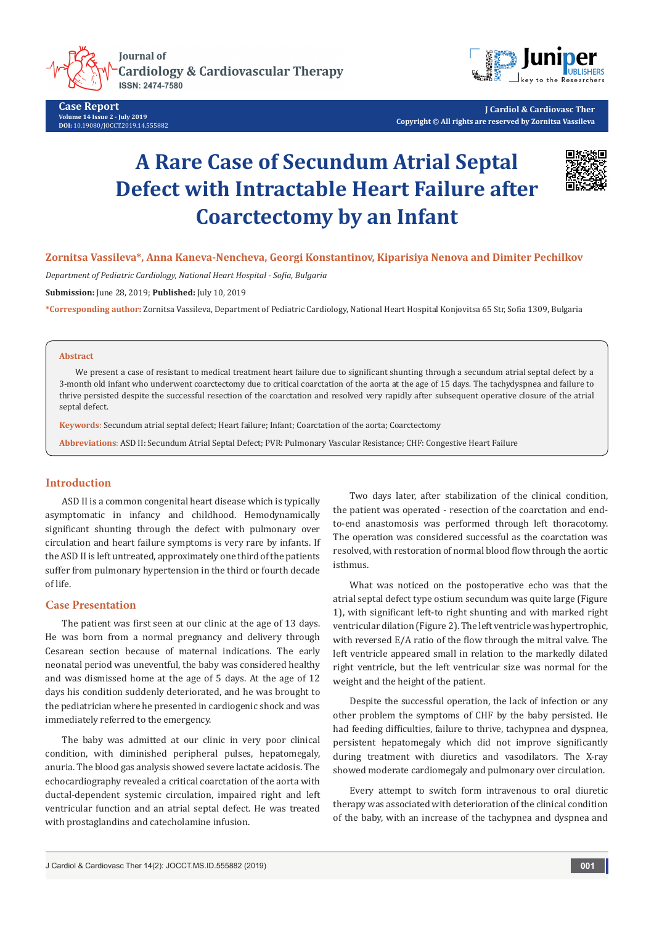

**Case Report Volume 14 Issue 2 - July 2019 DOI:** [10.19080/JOCCT.2019.14.555882](http://dx.doi.org/10.19080/JOCCT.2019.14.555882)



**J Cardiol & Cardiovasc Ther Copyright © All rights are reserved by Zornitsa Vassileva**

# **A Rare Case of Secundum Atrial Septal Defect with Intractable Heart Failure after Coarctectomy by an Infant**



# **Zornitsa Vassileva\*, Anna Kaneva-Nencheva, Georgi Konstantinov, Kiparisiya Nenova and Dimiter Pechilkov**

*Department of Pediatric Cardiology, National Heart Hospital - Sofia, Bulgaria*

**Submission:** June 28, 2019; **Published:** July 10, 2019

**\*Corresponding author:** Zornitsa Vassileva, Department of Pediatric Cardiology, National Heart Hospital Konjovitsa 65 Str, Sofia 1309, Bulgaria

# **Abstract**

We present a case of resistant to medical treatment heart failure due to significant shunting through a secundum atrial septal defect by a 3-month old infant who underwent coarctectomy due to critical coarctation of the aorta at the age of 15 days. The tachydyspnea and failure to thrive persisted despite the successful resection of the coarctation and resolved very rapidly after subsequent operative closure of the atrial septal defect.

**Keywords**: Secundum atrial septal defect; Heart failure; Infant; Coarctation of the aorta; Coarctectomy

**Abbreviations**: ASD II: Secundum Atrial Septal Defect; PVR: Pulmonary Vascular Resistance; CHF: Congestive Heart Failure

# **Introduction**

ASD II is a common congenital heart disease which is typically asymptomatic in infancy and childhood. Hemodynamically significant shunting through the defect with pulmonary over circulation and heart failure symptoms is very rare by infants. If the ASD II is left untreated, approximately one third of the patients suffer from pulmonary hypertension in the third or fourth decade of life.

### **Case Presentation**

The patient was first seen at our clinic at the age of 13 days. He was born from a normal pregnancy and delivery through Cesarean section because of maternal indications. The early neonatal period was uneventful, the baby was considered healthy and was dismissed home at the age of 5 days. At the age of 12 days his condition suddenly deteriorated, and he was brought to the pediatrician where he presented in cardiogenic shock and was immediately referred to the emergency.

The baby was admitted at our clinic in very poor clinical condition, with diminished peripheral pulses, hepatomegaly, anuria. The blood gas analysis showed severe lactate acidosis. The echocardiography revealed a critical coarctation of the aorta with ductal-dependent systemic circulation, impaired right and left ventricular function and an atrial septal defect. He was treated with prostaglandins and catecholamine infusion.

Two days later, after stabilization of the clinical condition, the patient was operated - resection of the coarctation and endto-end anastomosis was performed through left thoracotomy. The operation was considered successful as the coarctation was resolved, with restoration of normal blood flow through the aortic isthmus.

What was noticed on the postoperative echo was that the atrial septal defect type ostium secundum was quite large (Figure 1), with significant left-to right shunting and with marked right ventricular dilation (Figure 2). The left ventricle was hypertrophic, with reversed E/A ratio of the flow through the mitral valve. The left ventricle appeared small in relation to the markedly dilated right ventricle, but the left ventricular size was normal for the weight and the height of the patient.

Despite the successful operation, the lack of infection or any other problem the symptoms of CHF by the baby persisted. He had feeding difficulties, failure to thrive, tachypnea and dyspnea, persistent hepatomegaly which did not improve significantly during treatment with diuretics and vasodilators. The X-ray showed moderate cardiomegaly and pulmonary over circulation.

Every attempt to switch form intravenous to oral diuretic therapy was associated with deterioration of the clinical condition of the baby, with an increase of the tachypnea and dyspnea and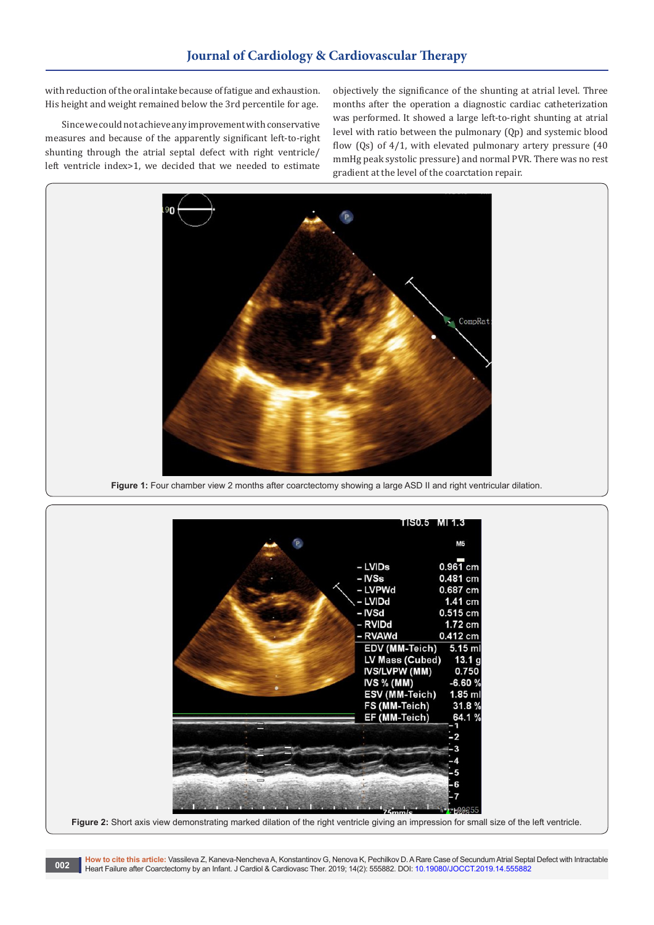with reduction of the oral intake because of fatigue and exhaustion. His height and weight remained below the 3rd percentile for age.

Since we could not achieve any improvement with conservative measures and because of the apparently significant left-to-right shunting through the atrial septal defect with right ventricle/ left ventricle index>1, we decided that we needed to estimate

objectively the significance of the shunting at atrial level. Three months after the operation a diagnostic cardiac catheterization was performed. It showed a large left-to-right shunting at atrial level with ratio between the pulmonary (Qp) and systemic blood flow (Qs) of 4/1, with elevated pulmonary artery pressure (40 mmHg peak systolic pressure) and normal PVR. There was no rest gradient at the level of the coarctation repair.



**Figure 1:** Four chamber view 2 months after coarctectomy showing a large ASD II and right ventricular dilation.



**How to cite this article:** Vassileva Z, Kaneva-Nencheva A, Konstantinov G, Nenova K, Pechilkov D. A Rare Case of Secundum Atrial Septal Defect with Intractable Heart Failure after Coarctectomy by an Infant. J Cardiol & Cardiovasc Ther. 2019; 14(2): 555882. DOI: [10.19080/JOCCT.2019.14.555882](http://dx.doi.org/10.19080/JOCCT.2019.14.555882)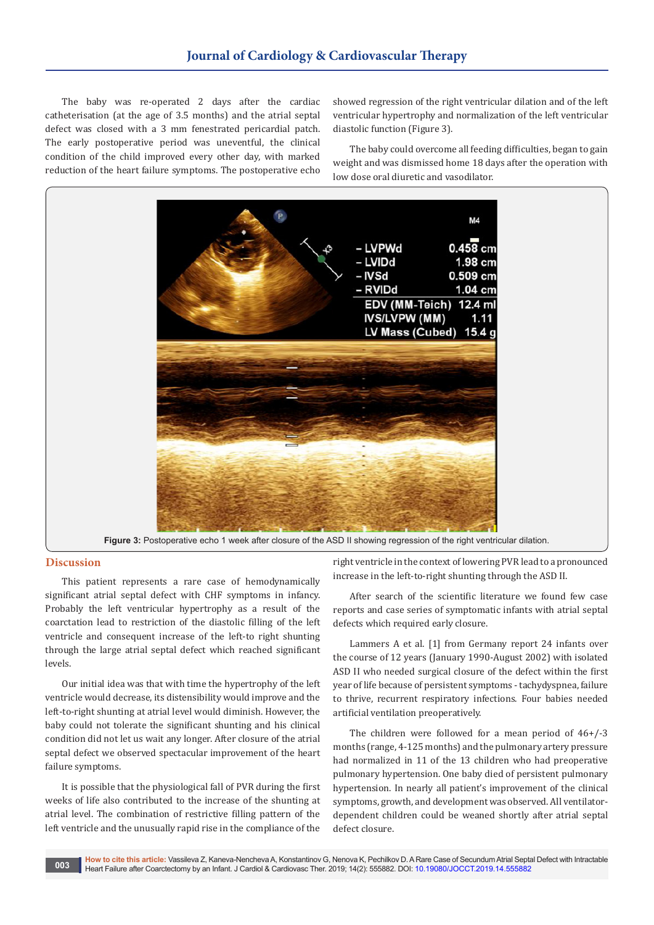The baby was re-operated 2 days after the cardiac catheterisation (at the age of 3.5 months) and the atrial septal defect was closed with a 3 mm fenestrated pericardial patch. The early postoperative period was uneventful, the clinical condition of the child improved every other day, with marked reduction of the heart failure symptoms. The postoperative echo

showed regression of the right ventricular dilation and of the left ventricular hypertrophy and normalization of the left ventricular diastolic function (Figure 3).

The baby could overcome all feeding difficulties, began to gain weight and was dismissed home 18 days after the operation with low dose oral diuretic and vasodilator.



#### **Discussion**

This patient represents a rare case of hemodynamically significant atrial septal defect with CHF symptoms in infancy. Probably the left ventricular hypertrophy as a result of the coarctation lead to restriction of the diastolic filling of the left ventricle and consequent increase of the left-to right shunting through the large atrial septal defect which reached significant levels.

Our initial idea was that with time the hypertrophy of the left ventricle would decrease, its distensibility would improve and the left-to-right shunting at atrial level would diminish. However, the baby could not tolerate the significant shunting and his clinical condition did not let us wait any longer. After closure of the atrial septal defect we observed spectacular improvement of the heart failure symptoms.

It is possible that the physiological fall of PVR during the first weeks of life also contributed to the increase of the shunting at atrial level. The combination of restrictive filling pattern of the left ventricle and the unusually rapid rise in the compliance of the

right ventricle in the context of lowering PVR lead to a pronounced increase in the left-to-right shunting through the ASD II.

After search of the scientific literature we found few case reports and case series of symptomatic infants with atrial septal defects which required early closure.

Lammers A et al. [1] from Germany report 24 infants over the course of 12 years (January 1990-August 2002) with isolated ASD II who needed surgical closure of the defect within the first year of life because of persistent symptoms - tachydyspnea, failure to thrive, recurrent respiratory infections. Four babies needed artificial ventilation preoperatively.

The children were followed for a mean period of 46+/-3 months (range, 4-125 months) and the pulmonary artery pressure had normalized in 11 of the 13 children who had preoperative pulmonary hypertension. One baby died of persistent pulmonary hypertension. In nearly all patient's improvement of the clinical symptoms, growth, and development was observed. All ventilatordependent children could be weaned shortly after atrial septal defect closure.